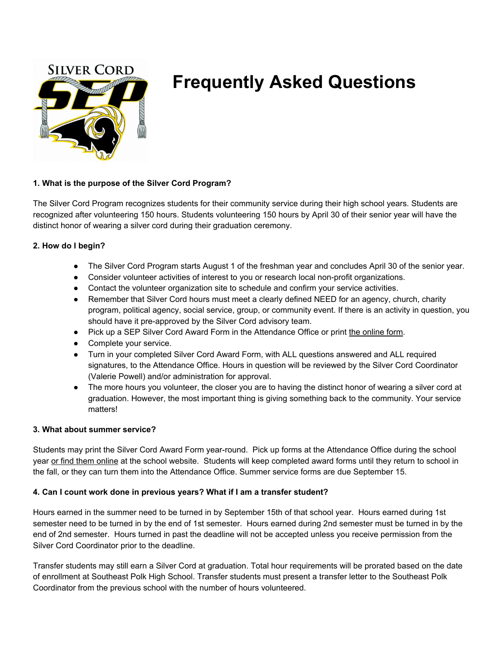

# **Frequently Asked Questions**

## **1. What is the purpose of the Silver Cord Program?**

The Silver Cord Program recognizes students for their community service during their high school years. Students are recognized after volunteering 150 hours. Students volunteering 150 hours by April 30 of their senior year will have the distinct honor of wearing a silver cord during their graduation ceremony.

## **2. How do I begin?**

- The Silver Cord Program starts August 1 of the freshman year and concludes April 30 of the senior year.
- Consider volunteer activities of interest to you or research local non-profit organizations.
- Contact the volunteer organization site to schedule and confirm your service activities.
- Remember that Silver Cord hours must meet a clearly defined NEED for an agency, church, charity program, political agency, social service, group, or community event. If there is an activity in question, you should have it pre-approved by the Silver Cord advisory team.
- Pick up a SEP Silver Cord Award Form in the Attendance Office or print the [online](https://southeastpolk.socs.net/vnews/display.v/ART/556f5eb81100c) form.
- Complete your service.
- Turn in your completed Silver Cord Award Form, with ALL questions answered and ALL required signatures, to the Attendance Office. Hours in question will be reviewed by the Silver Cord Coordinator (Valerie Powell) and/or administration for approval.
- The more hours you volunteer, the closer you are to having the distinct honor of wearing a silver cord at graduation. However, the most important thing is giving something back to the community. Your service matters!

#### **3. What about summer service?**

Students may print the Silver Cord Award Form year-round. Pick up forms at the Attendance Office during the school year or find them [online](https://southeastpolk.socs.net/vnews/display.v/ART/556f5eb81100c) at the school website. Students will keep completed award forms until they return to school in the fall, or they can turn them into the Attendance Office. Summer service forms are due September 15.

# **4. Can I count work done in previous years? What if I am a transfer student?**

Hours earned in the summer need to be turned in by September 15th of that school year. Hours earned during 1st semester need to be turned in by the end of 1st semester. Hours earned during 2nd semester must be turned in by the end of 2nd semester. Hours turned in past the deadline will not be accepted unless you receive permission from the Silver Cord Coordinator prior to the deadline.

Transfer students may still earn a Silver Cord at graduation. Total hour requirements will be prorated based on the date of enrollment at Southeast Polk High School. Transfer students must present a transfer letter to the Southeast Polk Coordinator from the previous school with the number of hours volunteered.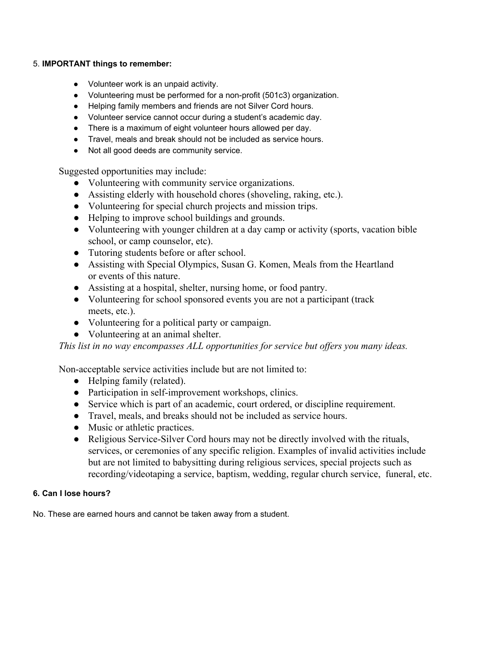#### 5. **IMPORTANT things to remember:**

- Volunteer work is an unpaid activity.
- Volunteering must be performed for a non-profit (501c3) organization.
- Helping family members and friends are not Silver Cord hours.
- Volunteer service cannot occur during a student's academic day.
- There is a maximum of eight volunteer hours allowed per day.
- Travel, meals and break should not be included as service hours.
- Not all good deeds are community service.

Suggested opportunities may include:

- Volunteering with community service organizations.
- Assisting elderly with household chores (shoveling, raking, etc.).
- Volunteering for special church projects and mission trips.
- Helping to improve school buildings and grounds.
- Volunteering with younger children at a day camp or activity (sports, vacation bible school, or camp counselor, etc).
- Tutoring students before or after school.
- Assisting with Special Olympics, Susan G. Komen, Meals from the Heartland or events of this nature.
- Assisting at a hospital, shelter, nursing home, or food pantry.
- Volunteering for school sponsored events you are not a participant (track meets, etc.).
- Volunteering for a political party or campaign.
- Volunteering at an animal shelter.

*This list in no way encompasses ALL opportunities for service but offers you many ideas.*

Non-acceptable service activities include but are not limited to:

- Helping family (related).
- Participation in self-improvement workshops, clinics.
- Service which is part of an academic, court ordered, or discipline requirement.
- Travel, meals, and breaks should not be included as service hours.
- Music or athletic practices.
- Religious Service-Silver Cord hours may not be directly involved with the rituals, services, or ceremonies of any specific religion. Examples of invalid activities include but are not limited to babysitting during religious services, special projects such as recording/videotaping a service, baptism, wedding, regular church service, funeral, etc.

# **6. Can I lose hours?**

No. These are earned hours and cannot be taken away from a student.